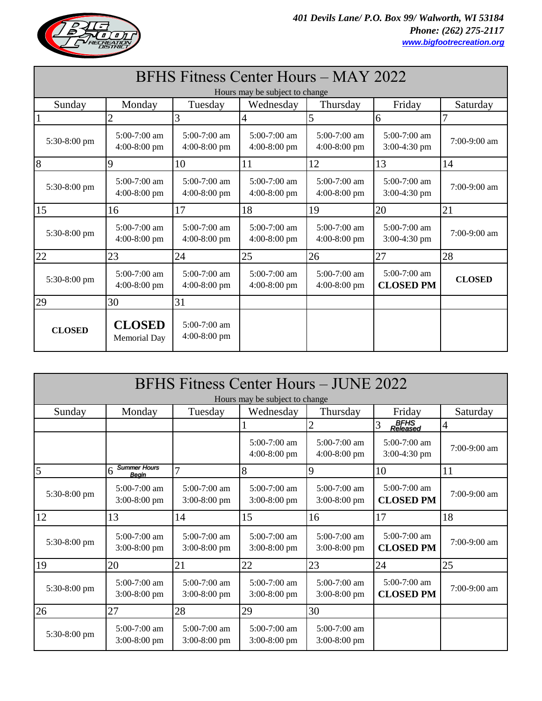

| BFHS Fitness Center Hours – MAY 2022 |                                  |                                  |                                  |                                  |                                    |                |  |
|--------------------------------------|----------------------------------|----------------------------------|----------------------------------|----------------------------------|------------------------------------|----------------|--|
| Hours may be subject to change       |                                  |                                  |                                  |                                  |                                    |                |  |
| Sunday                               | Monday                           | Tuesday                          | Wednesday                        | Thursday                         | Friday                             | Saturday       |  |
|                                      | $\mathbf{2}$                     | 3                                | 4                                | 5                                | 6                                  | 7              |  |
| 5:30-8:00 pm                         | 5:00-7:00 am<br>$4:00-8:00$ pm   | 5:00-7:00 am<br>$4:00-8:00$ pm   | 5:00-7:00 am<br>$4:00-8:00$ pm   | 5:00-7:00 am<br>$4:00-8:00$ pm   | 5:00-7:00 am<br>$3:00-4:30$ pm     | $7:00-9:00$ am |  |
| $\overline{8}$                       | 9                                | 10                               | 11                               | 12                               | 13                                 | 14             |  |
| 5:30-8:00 pm                         | 5:00-7:00 am<br>$4:00-8:00$ pm   | $5:00-7:00$ am<br>$4:00-8:00$ pm | $5:00-7:00$ am<br>$4:00-8:00$ pm | $5:00-7:00$ am<br>4:00-8:00 pm   | $5:00-7:00$ am<br>3:00-4:30 pm     | $7:00-9:00$ am |  |
| 15                                   | 16                               | 17                               | 18                               | 19                               | 20                                 | 21             |  |
| 5:30-8:00 pm                         | $5:00-7:00$ am<br>$4:00-8:00$ pm | $5:00-7:00$ am<br>$4:00-8:00$ pm | $5:00-7:00$ am<br>$4:00-8:00$ pm | $5:00-7:00$ am<br>$4:00-8:00$ pm | $5:00-7:00$ am<br>$3:00-4:30$ pm   | 7:00-9:00 am   |  |
| 22                                   | 23                               | 24                               | 25                               | 26                               | 27                                 | 28             |  |
| 5:30-8:00 pm                         | $5:00-7:00$ am<br>$4:00-8:00$ pm | $5:00-7:00$ am<br>$4:00-8:00$ pm | $5:00-7:00$ am<br>$4:00-8:00$ pm | $5:00-7:00$ am<br>$4:00-8:00$ pm | $5:00-7:00$ am<br><b>CLOSED PM</b> | <b>CLOSED</b>  |  |
| 29                                   | 30                               | 31                               |                                  |                                  |                                    |                |  |
| <b>CLOSED</b>                        | <b>CLOSED</b><br>Memorial Day    | $5:00-7:00$ am<br>$4:00-8:00$ pm |                                  |                                  |                                    |                |  |

| BFHS Fitness Center Hours - JUNE 2022<br>Hours may be subject to change |                                          |                                  |                                  |                                  |                                    |                |
|-------------------------------------------------------------------------|------------------------------------------|----------------------------------|----------------------------------|----------------------------------|------------------------------------|----------------|
| Sunday                                                                  | Monday                                   | Tuesday                          | Wednesday                        | Thursday                         | Friday                             | Saturday       |
|                                                                         |                                          |                                  |                                  | $\overline{2}$                   | BFHS<br>Released<br>3              | $\overline{4}$ |
|                                                                         |                                          |                                  | $5:00-7:00$ am<br>$4:00-8:00$ pm | $5:00-7:00$ am<br>$4:00-8:00$ pm | $5:00-7:00$ am<br>3:00-4:30 pm     | $7:00-9:00$ am |
| 5                                                                       | <b>Summer Hours</b><br>6<br><b>Beain</b> | 7                                | 8                                | 9                                | 10                                 | 11             |
| 5:30-8:00 pm                                                            | $5:00-7:00$ am<br>$3:00-8:00$ pm         | $5:00-7:00$ am<br>$3:00-8:00$ pm | $5:00-7:00$ am<br>$3:00-8:00$ pm | $5:00-7:00$ am<br>$3:00-8:00$ pm | $5:00-7:00$ am<br><b>CLOSED PM</b> | $7:00-9:00$ am |
| 12                                                                      | 13                                       | 14                               | 15                               | 16                               | 17                                 | 18             |
| 5:30-8:00 pm                                                            | $5:00-7:00$ am<br>$3:00-8:00$ pm         | $5:00-7:00$ am<br>$3:00-8:00$ pm | $5:00-7:00$ am<br>$3:00-8:00$ pm | $5:00-7:00$ am<br>$3:00-8:00$ pm | 5:00-7:00 am<br><b>CLOSED PM</b>   | 7:00-9:00 am   |
| 19                                                                      | 20                                       | 21                               | 22                               | 23                               | 24                                 | 25             |
| 5:30-8:00 pm                                                            | $5:00-7:00$ am<br>$3:00-8:00$ pm         | $5:00-7:00$ am<br>$3:00-8:00$ pm | $5:00-7:00$ am<br>$3:00-8:00$ pm | $5:00-7:00$ am<br>$3:00-8:00$ pm | 5:00-7:00 am<br><b>CLOSED PM</b>   | 7:00-9:00 am   |
| 26                                                                      | 27                                       | 28                               | 29                               | 30                               |                                    |                |
| 5:30-8:00 pm                                                            | 5:00-7:00 am<br>$3:00-8:00$ pm           | 5:00-7:00 am<br>$3:00-8:00$ pm   | 5:00-7:00 am<br>$3:00-8:00$ pm   | 5:00-7:00 am<br>$3:00-8:00$ pm   |                                    |                |